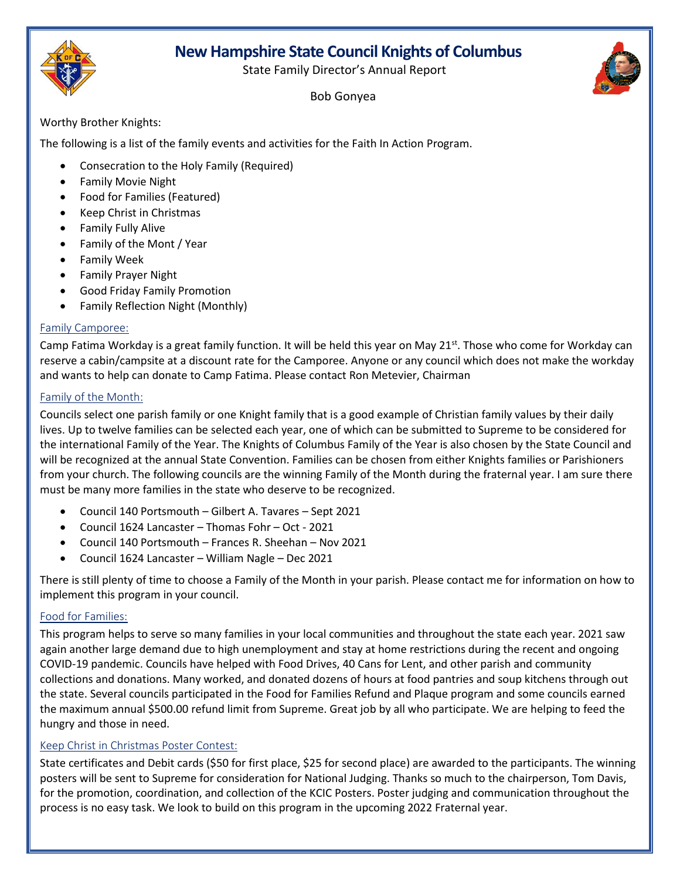# **New Hampshire State Council Knights of Columbus**





#### Bob Gonyea

Worthy Brother Knights:

The following is a list of the family events and activities for the Faith In Action Program.

- Consecration to the Holy Family (Required)
- Family Movie Night
- Food for Families (Featured)
- Keep Christ in Christmas
- Family Fully Alive
- Family of the Mont / Year
- Family Week
- Family Prayer Night
- Good Friday Family Promotion
- Family Reflection Night (Monthly)

## Family Camporee:

Camp Fatima Workday is a great family function. It will be held this year on May 21<sup>st</sup>. Those who come for Workday can reserve a cabin/campsite at a discount rate for the Camporee. Anyone or any council which does not make the workday and wants to help can donate to Camp Fatima. Please contact Ron Metevier, Chairman

## Family of the Month:

Councils select one parish family or one Knight family that is a good example of Christian family values by their daily lives. Up to twelve families can be selected each year, one of which can be submitted to Supreme to be considered for the international Family of the Year. The Knights of Columbus Family of the Year is also chosen by the State Council and will be recognized at the annual State Convention. Families can be chosen from either Knights families or Parishioners from your church. The following councils are the winning Family of the Month during the fraternal year. I am sure there must be many more families in the state who deserve to be recognized.

- Council 140 Portsmouth Gilbert A. Tavares Sept 2021
- Council 1624 Lancaster Thomas Fohr Oct 2021
- Council 140 Portsmouth Frances R. Sheehan Nov 2021
- Council 1624 Lancaster William Nagle Dec 2021

There is still plenty of time to choose a Family of the Month in your parish. Please contact me for information on how to implement this program in your council.

## Food for Families:

This program helps to serve so many families in your local communities and throughout the state each year. 2021 saw again another large demand due to high unemployment and stay at home restrictions during the recent and ongoing COVID-19 pandemic. Councils have helped with Food Drives, 40 Cans for Lent, and other parish and community collections and donations. Many worked, and donated dozens of hours at food pantries and soup kitchens through out the state. Several councils participated in the Food for Families Refund and Plaque program and some councils earned the maximum annual \$500.00 refund limit from Supreme. Great job by all who participate. We are helping to feed the hungry and those in need.

## Keep Christ in Christmas Poster Contest:

State certificates and Debit cards (\$50 for first place, \$25 for second place) are awarded to the participants. The winning posters will be sent to Supreme for consideration for National Judging. Thanks so much to the chairperson, Tom Davis, for the promotion, coordination, and collection of the KCIC Posters. Poster judging and communication throughout the process is no easy task. We look to build on this program in the upcoming 2022 Fraternal year.